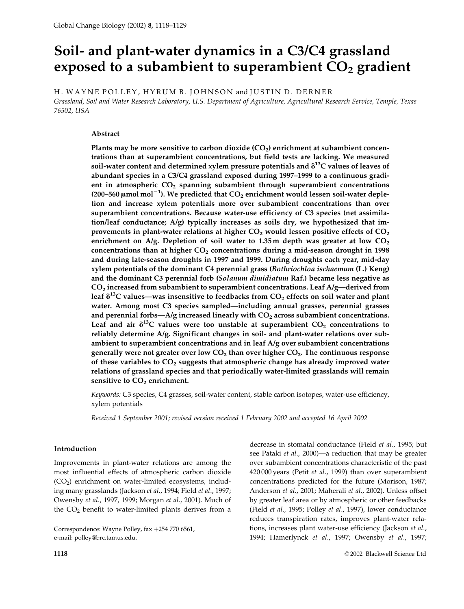# Soil- and plant-water dynamics in a C3/C4 grassland exposed to a subambient to superambient  $CO<sub>2</sub>$  gradient

H. WAYNE POLLEY, HYRUM B. JOHNSON and JUSTIN D. DERNER Grassland, Soil and Water Research Laboratory, U.S. Department of Agriculture, Agricultural Research Service, Temple, Texas 76502, USA

## Abstract

Plants may be more sensitive to carbon dioxide  $(CO<sub>2</sub>)$  enrichment at subambient concentrations than at superambient concentrations, but field tests are lacking. We measured soil-water content and determined xylem pressure potentials and  $\delta^{13}C$  values of leaves of abundant species in a C3/C4 grassland exposed during 1997-1999 to a continuous gradient in atmospheric  $CO<sub>2</sub>$  spanning subambient through superambient concentrations  $(200-560 \mu \text{mol} \text{ mol}^{-1})$ . We predicted that  $CO<sub>2</sub>$  enrichment would lessen soil-water depletion and increase xylem potentials more over subambient concentrations than over superambient concentrations. Because water-use efficiency of C3 species (net assimilation/leaf conductance; A/g) typically increases as soils dry, we hypothesized that improvements in plant-water relations at higher  $CO<sub>2</sub>$  would lessen positive effects of  $CO<sub>2</sub>$ enrichment on  $A/g$ . Depletion of soil water to 1.35 m depth was greater at low  $CO<sub>2</sub>$ concentrations than at higher  $CO<sub>2</sub>$  concentrations during a mid-season drought in 1998 and during late-season droughts in 1997 and 1999. During droughts each year, mid-day xylem potentials of the dominant C4 perennial grass (Bothriochloa ischaemum (L.) Keng) and the dominant C3 perennial forb (Solanum dimidiatum Raf.) became less negative as  $CO<sub>2</sub>$  increased from subambient to superambient concentrations. Leaf  $A/g$ —derived from leaf  $\delta^{13}$ C values—was insensitive to feedbacks from  $CO_2$  effects on soil water and plant water. Among most C3 species sampled—including annual grasses, perennial grasses and perennial forbs— $A/g$  increased linearly with  $CO<sub>2</sub>$  across subambient concentrations. Leaf and air  $\delta^{13}$ C values were too unstable at superambient  $CO_2$  concentrations to reliably determine A/g. Significant changes in soil- and plant-water relations over subambient to superambient concentrations and in leaf A/g over subambient concentrations generally were not greater over low  $CO<sub>2</sub>$  than over higher  $CO<sub>2</sub>$ . The continuous response of these variables to  $CO<sub>2</sub>$  suggests that atmospheric change has already improved water relations of grassland species and that periodically water-limited grasslands will remain sensitive to CO<sub>2</sub> enrichment.

Keywords: C3 species, C4 grasses, soil-water content, stable carbon isotopes, water-use efficiency, xylem potentials

Received 1 September 2001; revised version received 1 February 2002 and accepted 16 April 2002

# Introduction

Improvements in plant-water relations are among the most influential effects of atmospheric carbon dioxide  $(CO<sub>2</sub>)$  enrichment on water-limited ecosystems, including many grasslands (Jackson et al., 1994; Field et al., 1997; Owensby et al., 1997, 1999; Morgan et al., 2001). Much of the  $CO<sub>2</sub>$  benefit to water-limited plants derives from a

Correspondence: Wayne Polley, fax +254 770 6561, e-mail: polley@brc.tamus.edu.

decrease in stomatal conductance (Field et al., 1995; but see Pataki et al., 2000)—a reduction that may be greater over subambient concentrations characteristic of the past 420 000 years (Petit et al., 1999) than over superambient concentrations predicted for the future (Morison, 1987; Anderson et al., 2001; Maherali et al., 2002). Unless offset by greater leaf area or by atmospheric or other feedbacks (Field et al., 1995; Polley et al., 1997), lower conductance reduces transpiration rates, improves plant-water relations, increases plant water-use efficiency (Jackson et al., 1994; Hamerlynck et al., 1997; Owensby et al., 1997;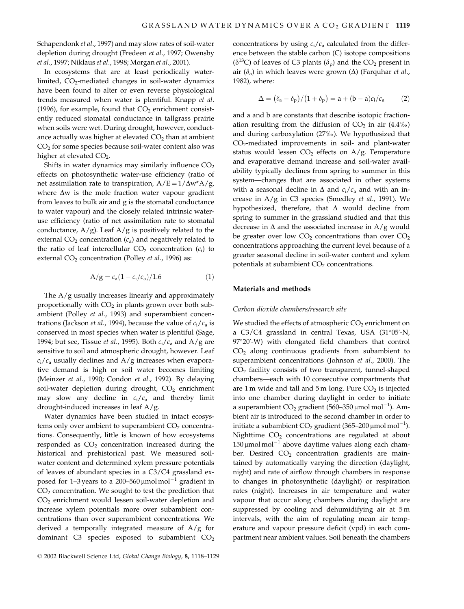Schapendonk et al., 1997) and may slow rates of soil-water depletion during drought (Fredeen et al., 1997; Owensby et al., 1997; Niklaus et al., 1998; Morgan et al., 2001).

In ecosystems that are at least periodically waterlimited, CO<sub>2</sub>-mediated changes in soil-water dynamics have been found to alter or even reverse physiological trends measured when water is plentiful. Knapp et al. (1996), for example, found that  $CO<sub>2</sub>$  enrichment consistently reduced stomatal conductance in tallgrass prairie when soils were wet. During drought, however, conductance actually was higher at elevated  $CO<sub>2</sub>$  than at ambient CO<sub>2</sub> for some species because soil-water content also was higher at elevated  $CO<sub>2</sub>$ .

Shifts in water dynamics may similarly influence  $CO<sub>2</sub>$ effects on photosynthetic water-use efficiency (ratio of net assimilation rate to transpiration,  $A/E = 1/\Delta w^* A/g$ , where  $\Delta w$  is the mole fraction water vapour gradient from leaves to bulk air and g is the stomatal conductance to water vapour) and the closely related intrinsic wateruse efficiency (ratio of net assimilation rate to stomatal conductance,  $A/g$ ). Leaf  $A/g$  is positively related to the external  $CO_2$  concentration  $(c_a)$  and negatively related to the ratio of leaf intercellular  $CO<sub>2</sub>$  concentration ( $c<sub>i</sub>$ ) to external CO<sub>2</sub> concentration (Polley et al., 1996) as:

$$
A/g = c_a (1 - c_i/c_a)/1.6
$$
 (1)

The  $A/g$  usually increases linearly and approximately proportionally with  $CO<sub>2</sub>$  in plants grown over both subambient (Polley et al., 1993) and superambient concentrations (Jackson *et al.*, 1994), because the value of  $c_i/c_a$  is conserved in most species when water is plentiful (Sage, 1994; but see, Tissue et al., 1995). Both  $c_i/c_a$  and A/g are sensitive to soil and atmospheric drought, however. Leaf  $c_i/c_a$  usually declines and A/g increases when evaporative demand is high or soil water becomes limiting (Meinzer et al., 1990; Condon et al., 1992). By delaying soil-water depletion during drought, CO<sub>2</sub> enrichment may slow any decline in  $c_i/c_a$  and thereby limit drought-induced increases in leaf  $A/g$ .

Water dynamics have been studied in intact ecosystems only over ambient to superambient  $CO<sub>2</sub>$  concentrations. Consequently, little is known of how ecosystems responded as  $CO<sub>2</sub>$  concentration increased during the historical and prehistorical past. We measured soilwater content and determined xylem pressure potentials of leaves of abundant species in a C3/C4 grassland exposed for 1–3 years to a 200–560  $\mu$ mol mol<sup>-1</sup> gradient in  $CO<sub>2</sub>$  concentration. We sought to test the prediction that  $CO<sub>2</sub>$  enrichment would lessen soil-water depletion and increase xylem potentials more over subambient concentrations than over superambient concentrations. We derived a temporally integrated measure of  $A/g$  for dominant C3 species exposed to subambient  $CO<sub>2</sub>$  concentrations by using  $c_i/c_a$  calculated from the difference between the stable carbon (C) isotope compositions  $(\delta^{13}C)$  of leaves of C3 plants  $(\delta_p)$  and the CO<sub>2</sub> present in air ( $\delta$ <sub>a</sub>) in which leaves were grown ( $\Delta$ ) (Farquhar *et al.*, 1982), where:

$$
\Delta = (\delta_a - \delta_p)/(1 + \delta_p) = a + (b - a)c_i/c_a \tag{2}
$$

and a and b are constants that describe isotopic fractionation resulting from the diffusion of  $CO<sub>2</sub>$  in air (4.4%) and during carboxylation (27%o). We hypothesized that CO<sub>2</sub>-mediated improvements in soil- and plant-water status would lessen  $CO<sub>2</sub>$  effects on A/g. Temperature and evaporative demand increase and soil-water availability typically declines from spring to summer in this system-changes that are associated in other systems with a seasonal decline in  $\Delta$  and  $c_i/c_a$  and with an increase in A/g in C3 species (Smedley et al., 1991). We hypothesized, therefore, that  $\Delta$  would decline from spring to summer in the grassland studied and that this decrease in  $\Delta$  and the associated increase in A/g would be greater over low  $CO<sub>2</sub>$  concentrations than over  $CO<sub>2</sub>$ concentrations approaching the current level because of a greater seasonal decline in soil-water content and xylem potentials at subambient CO<sub>2</sub> concentrations.

## Materials and methods

## Carbon dioxide chambers/research site

We studied the effects of atmospheric  $CO<sub>2</sub>$  enrichment on a C3/C4 grassland in central Texas, USA (31°05'-N,  $97^{\circ}20'$ -W) with elongated field chambers that control  $CO<sub>2</sub>$  along continuous gradients from subambient to superambient concentrations (Johnson et al., 2000). The CO<sub>2</sub> facility consists of two transparent, tunnel-shaped chambers-each with 10 consecutive compartments that are 1 m wide and tall and 5 m long. Pure  $CO<sub>2</sub>$  is injected into one chamber during daylight in order to initiate a superambient  $CO_2$  gradient (560–350 µmol mol<sup>-1</sup>). Ambient air is introduced to the second chamber in order to initiate a subambient  $CO_2$  gradient (365–200 µmol mol<sup>-1</sup>). Nighttime CO<sub>2</sub> concentrations are regulated at about  $150 \mu$ mol mol<sup>-1</sup> above daytime values along each chamber. Desired  $CO<sub>2</sub>$  concentration gradients are maintained by automatically varying the direction (daylight, night) and rate of airflow through chambers in response to changes in photosynthetic (daylight) or respiration rates (night). Increases in air temperature and water vapour that occur along chambers during daylight are suppressed by cooling and dehumidifying air at 5m intervals, with the aim of regulating mean air temperature and vapour pressure deficit (vpd) in each compartment near ambient values. Soil beneath the chambers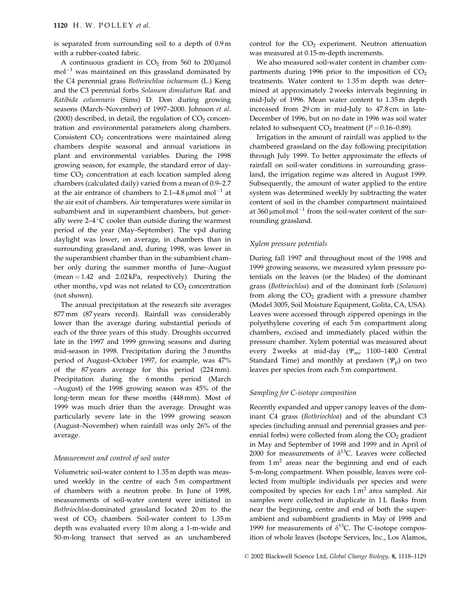is separated from surrounding soil to a depth of 0.9m with a rubber-coated fabric.

A continuous gradient in  $CO<sub>2</sub>$  from 560 to 200 µmol  $mol^{-1}$  was maintained on this grassland dominated by the C4 perennial grass Bothriochloa ischaemum (L.) Keng and the C3 perennial forbs Solanum dimidiatum Raf. and Ratibida columnaris (Sims) D. Don during growing seasons (March-November) of 1997-2000. Johnson et al.  $(2000)$  described, in detail, the regulation of  $CO<sub>2</sub>$  concentration and environmental parameters along chambers. Consistent CO<sub>2</sub> concentrations were maintained along chambers despite seasonal and annual variations in plant and environmental variables. During the 1998 growing season, for example, the standard error of daytime  $CO<sub>2</sub>$  concentration at each location sampled along chambers (calculated daily) varied from a mean of 0.9-2.7 at the air entrance of chambers to  $2.1-4.8 \mu$ mol mol<sup>-1</sup> at the air exit of chambers. Air temperatures were similar in subambient and in superambient chambers, but generally were  $2-4$  °C cooler than outside during the warmest period of the year (May-September). The vpd during daylight was lower, on average, in chambers than in surrounding grassland and, during 1998, was lower in the superambient chamber than in the subambient chamber only during the summer months of June-August (mean  $= 1.42$  and  $2.02 \text{ kPa}$ , respectively). During the other months, vpd was not related to  $CO<sub>2</sub>$  concentration (not shown).

The annual precipitation at the research site averages 877 mm (87 years record). Rainfall was considerably lower than the average during substantial periods of each of the three years of this study. Droughts occurred late in the 1997 and 1999 growing seasons and during mid-season in 1998. Precipitation during the 3 months period of August-October 1997, for example, was 47% of the 87 years average for this period (224 mm). Precipitation during the 6 months period (March -August) of the 1998 growing season was 45% of the long-term mean for these months (448 mm). Most of 1999 was much drier than the average. Drought was particularly severe late in the 1999 growing season (August-November) when rainfall was only 26% of the average.

## Measurement and control of soil water

Volumetric soil-water content to 1.35 m depth was measured weekly in the centre of each 5m compartment of chambers with a neutron probe. In June of 1998, measurements of soil-water content were initiated in Bothriochloa-dominated grassland located 20m to the west of  $CO<sub>2</sub>$  chambers. Soil-water content to  $1.35 \text{ m}$ depth was evaluated every 10 m along a 1-m-wide and 50-m-long transect that served as an unchambered

control for the  $CO<sub>2</sub>$  experiment. Neutron attenuation was measured at 0.15-m-depth increments.

We also measured soil-water content in chamber compartments during 1996 prior to the imposition of  $CO<sub>2</sub>$ treatments. Water content to 1.35 m depth was determined at approximately 2 weeks intervals beginning in mid-July of 1996. Mean water content to 1.35 m depth increased from 29 cm in mid-July to 47.8 cm in late-December of 1996, but on no date in 1996 was soil water related to subsequent  $CO<sub>2</sub>$  treatment ( $P = 0.16 - 0.89$ ).

Irrigation in the amount of rainfall was applied to the chambered grassland on the day following precipitation through July 1999. To better approximate the effects of rainfall on soil-water conditions in surrounding grassland, the irrigation regime was altered in August 1999. Subsequently, the amount of water applied to the entire system was determined weekly by subtracting the water content of soil in the chamber compartment maintained at 360  $\mu$ mol mol<sup>-1</sup> from the soil-water content of the surrounding grassland.

## Xylem pressure potentials

During fall 1997 and throughout most of the 1998 and 1999 growing seasons, we measured xylem pressure potentials on the leaves (or the blades) of the dominant grass (Bothriochloa) and of the dominant forb (Solanum) from along the  $CO<sub>2</sub>$  gradient with a pressure chamber (Model 3005, Soil Moisture Equipment, Golita, CA, USA). Leaves were accessed through zippered openings in the polyethylene covering of each 5m compartment along chambers, excised and immediately placed within the pressure chamber. Xylem potential was measured about every 2 weeks at mid-day ( $\mathcal{W}_{\text{m}}$ ; 1100-1400 Central Standard Time) and monthly at predawn ( $\Psi_{\rm p}$ ) on two leaves per species from each 5 m compartment.

#### Sampling for C-isotope composition

Recently expanded and upper canopy leaves of the dominant C4 grass (Bothriochloa) and of the abundant C3 species (including annual and perennial grasses and perennial forbs) were collected from along the CO<sub>2</sub> gradient in May and September of 1998 and 1999 and in April of 2000 for measurements of  $\delta^{13}$ C. Leaves were collected from  $1 \text{ m}^2$  areas near the beginning and end of each 5-m-long compartment. When possible, leaves were collected from multiple individuals per species and were composited by species for each 1m<sup>2</sup> area sampled. Air samples were collected in duplicate in 1L flasks from near the beginning, centre and end of both the superambient and subambient gradients in May of 1998 and 1999 for measurements of  $\delta^{13}$ C. The C-isotope composition of whole leaves (Isotope Services, Inc., Los Alamos,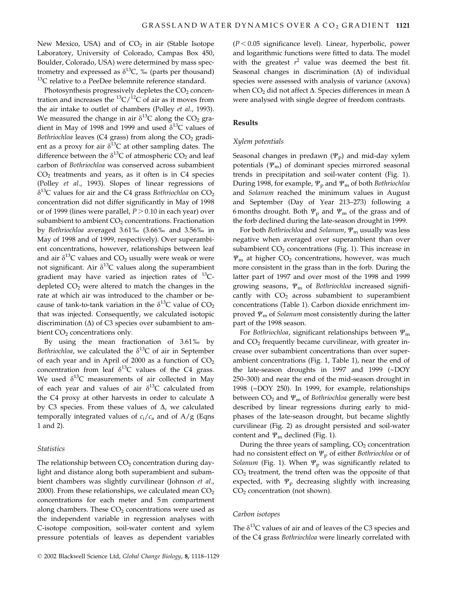New Mexico, USA) and of  $CO<sub>2</sub>$  in air (Stable Isotope Laboratory, University of Colorado, Campas Box 450, Boulder, Colorado, USA) were determined by mass spectrometry and expressed as  $\delta^{13}C$ , ‰ (parts per thousand) <sup>13</sup>C relative to a PeeDee belemnite reference standard.

Photosynthesis progressively depletes the CO<sub>2</sub> concentration and increases the <sup>13</sup>C/<sup>12</sup>C of air as it moves from the air intake to outlet of chambers (Polley et al., 1993). We measured the change in air  $\delta^{13}$ C along the CO<sub>2</sub> gradient in May of 1998 and 1999 and used  $\delta^{13}$ C values of Bothriochloa leaves (C4 grass) from along the CO<sub>2</sub> gradient as a proxy for air  $\delta^{13}$ C at other sampling dates. The difference between the  $\delta^{13}$ C of atmospheric CO<sub>2</sub> and leaf carbon of Bothriochloa was conserved across subambient  $CO<sub>2</sub>$  treatments and years, as it often is in C4 species (Polley et al., 1993). Slopes of linear regressions of  $\delta^{13}$ C values for air and the C4 grass Bothriochloa on CO<sub>2</sub> concentration did not differ significantly in May of 1998 or of 1999 (lines were parallel,  $P > 0.10$  in each year) over subambient to ambient  $CO<sub>2</sub>$  concentrations. Fractionation by Bothriochloa averaged 3.61% (3.66% and 3.56% in May of 1998 and of 1999, respectively). Over superambient concentrations, however, relationships between leaf and air  $\delta^{13}$ C values and CO<sub>2</sub> usually were weak or were not significant. Air  $\delta^{13}$ C values along the superambient gradient may have varied as injection rates of  $^{13}C$ depleted  $CO<sub>2</sub>$  were altered to match the changes in the rate at which air was introduced to the chamber or because of tank-to-tank variation in the  $\delta^{13}$ C value of CO<sub>2</sub> that was injected. Consequently, we calculated isotopic discrimination  $(\Delta)$  of C3 species over subambient to ambient CO<sub>2</sub> concentrations only.

By using the mean fractionation of 3.61% by Bothriochloa, we calculated the  $\delta^{13}C$  of air in September of each year and in April of 2000 as a function of  $CO<sub>2</sub>$ concentration from leaf  $\delta^{13}$ C values of the C4 grass. We used  $\delta^{13}$ C measurements of air collected in May of each year and values of air  $\delta^{13}C$  calculated from the C4 proxy at other harvests in order to calculate  $\Delta$ by C3 species. From these values of  $\Delta$ , we calculated temporally integrated values of  $c_i/c_a$  and of A/g (Eqns 1 and 2).

## **Statistics**

The relationship between  $CO<sub>2</sub>$  concentration during daylight and distance along both superambient and subambient chambers was slightly curvilinear (Johnson et al., 2000). From these relationships, we calculated mean  $CO<sub>2</sub>$ concentrations for each meter and 5m compartment along chambers. These  $CO<sub>2</sub>$  concentrations were used as the independent variable in regression analyses with C-isotope composition, soil-water content and xylem pressure potentials of leaves as dependent variables

 $(P < 0.05$  significance level). Linear, hyperbolic, power and logarithmic functions were fitted to data. The model with the greatest  $r^2$  value was deemed the best fit. Seasonal changes in discrimination  $(\Delta)$  of individual species were assessed with analysis of variance (ANOVA) when  $CO<sub>2</sub>$  did not affect  $\Delta$ . Species differences in mean  $\Delta$ were analysed with single degree of freedom contrasts.

# **Results**

## Xylem potentials

Seasonal changes in predawn ( $\Psi_p$ ) and mid-day xylem potentials  $(\Psi_{m})$  of dominant species mirrored seasonal trends in precipitation and soil-water content (Fig. 1). During 1998, for example,  $\Psi_p$  and  $\Psi_m$  of both Bothriochloa and Solanum reached the minimum values in August and September (Day of Year 213-273) following a 6 months drought. Both  $\Psi_p$  and  $\Psi_m$  of the grass and of the forb declined during the late-season drought in 1999.

For both Bothriochloa and Solanum,  $\Psi_{\rm m}$  usually was less negative when averaged over superambient than over subambient  $CO<sub>2</sub>$  concentrations (Fig. 1). This increase in  $\Psi_{\rm m}$  at higher CO<sub>2</sub> concentrations, however, was much more consistent in the grass than in the forb. During the latter part of 1997 and over most of the 1998 and 1999 growing seasons,  $\Psi_{\rm m}$  of Bothriochloa increased significantly with  $CO<sub>2</sub>$  across subambient to superambient concentrations (Table 1). Carbon dioxide enrichment improved  $\Psi_{\rm m}$  of *Solanum* most consistently during the latter part of the 1998 season.

For Bothriochloa, significant relationships between  $\Psi_{\rm m}$ and CO<sub>2</sub> frequently became curvilinear, with greater increase over subambient concentrations than over superambient concentrations (Fig. 1, Table 1), near the end of the late-season droughts in 1997 and 1999 (~DOY 250-300) and near the end of the mid-season drought in 1998 (~DOY 250). In 1999, for example, relationships between  $CO_2$  and  $\Psi_m$  of Bothriochloa generally were best described by linear regressions during early to midphases of the late-season drought, but became slightly curvilinear (Fig. 2) as drought persisted and soil-water content and  $\Psi_{\rm m}$  declined (Fig. 1).

During the three years of sampling, CO<sub>2</sub> concentration had no consistent effect on  $\Psi_p$  of either Bothriochloa or of Solanum (Fig. 1). When  $\Psi_p$  was significantly related to  $CO<sub>2</sub>$  treatment, the trend often was the opposite of that expected, with  $\Psi_{\rm p}$  decreasing slightly with increasing  $CO<sub>2</sub>$  concentration (not shown).

## Carbon isotopes

The  $\delta^{13}$ C values of air and of leaves of the C3 species and of the C4 grass Bothriochloa were linearly correlated with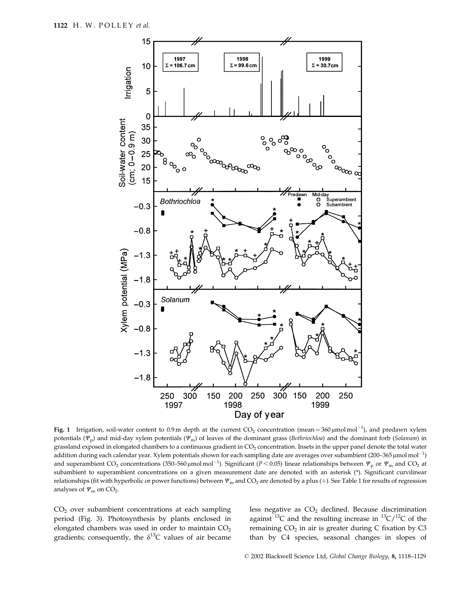

Fig. 1 Irrigation, soil-water content to 0.9 m depth at the current  $CO_2$  concentration (mean = 360 µmol mol<sup>-1</sup>), and predawn xylem potentials ( $\Psi_p$ ) and mid-day xylem potentials ( $\Psi_m$ ) of leaves of the dominant grass (Bothriochloa) and the dominant forb (Solanum) in grassland exposed in elongated chambers to a continuous gradient in CO<sub>2</sub> concentration. Insets in the upper panel denote the total water addition during each calendar year. Xylem potentials shown for each sampling date are averages over subambient (200-365 µmol mol<sup>-1</sup>) and superambient CO<sub>2</sub> concentrations (350–560 µmolmol<sup>-1</sup>). Significant ( $P < 0.05$ ) linear relationships between  $\Psi_p$  or  $\Psi_m$  and CO<sub>2</sub> at subambient to superambient concentrations on a given measurement date are denoted with an asterisk (\*). Significant curvilinear relationships (fit with hyperbolic or power functions) between  $\Psi_m$  and CO<sub>2</sub> are denoted by a plus (+). See Table 1 for results of regression analyses of  $\Psi_{\rm m}$  on CO<sub>2</sub>.

 $CO<sub>2</sub>$  over subambient concentrations at each sampling period (Fig. 3). Photosynthesis by plants enclosed in elongated chambers was used in order to maintain CO<sub>2</sub> gradients; consequently, the  $\delta^{13}C$  values of air became less negative as  $CO<sub>2</sub>$  declined. Because discrimination against <sup>13</sup>C and the resulting increase in <sup>13</sup>C/<sup>12</sup>C of the remaining  $CO<sub>2</sub>$  in air is greater during C fixation by C3 than by C4 species, seasonal changes in slopes of

© 2002 Blackwell Science Ltd, Global Change Biology, 8, 1118-1129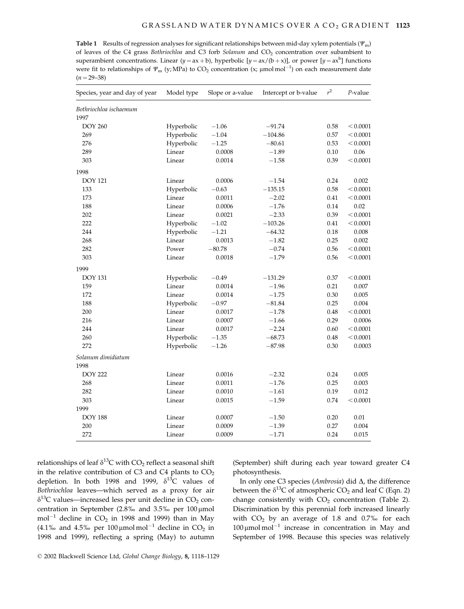**Table 1** Results of regression analyses for significant relationships between mid-day xylem potentials ( $\Psi_{\rm m}$ ) of leaves of the C4 grass Bothriochloa and C3 forb Solanum and CO<sub>2</sub> concentration over subambient to superambient concentrations. Linear  $(y = ax + b)$ , hyperbolic  $[y = ax/(b + x)]$ , or power  $[y = ax^b]$  functions were fit to relationships of  $\Psi_m$  (y; MPa) to CO<sub>2</sub> concentration (x;  $\mu$ mol mol<sup>-1</sup>) on each measurement date  $(n=29-38)$ 

| Species, year and day of year | Model type | Slope or a-value | Intercept or b-value | $r^2$ | $P$ -value |
|-------------------------------|------------|------------------|----------------------|-------|------------|
| Bothriochloa ischaemum        |            |                  |                      |       |            |
| 1997                          |            |                  |                      |       |            |
| <b>DOY 260</b>                | Hyperbolic | $-1.06$          | $-91.74$             | 0.58  | < 0.0001   |
| 269                           | Hyperbolic | $-1.04$          | $-104.86$            | 0.57  | < 0.0001   |
| 276                           | Hyperbolic | $-1.25$          | $-80.61$             | 0.53  | < 0.0001   |
| 289                           | Linear     | 0.0008           | $-1.89$              | 0.10  | 0.06       |
| 303                           | Linear     | 0.0014           | $-1.58$              | 0.39  | < 0.0001   |
| 1998                          |            |                  |                      |       |            |
| <b>DOY 121</b>                | Linear     | 0.0006           | $-1.54$              | 0.24  | 0.002      |
| 133                           | Hyperbolic | $-0.63$          | $-135.15$            | 0.58  | < 0.0001   |
| 173                           | Linear     | 0.0011           | $-2.02$              | 0.41  | < 0.0001   |
| 188                           | Linear     | 0.0006           | $-1.76$              | 0.14  | 0.02       |
| 202                           | Linear     | 0.0021           | $-2.33$              | 0.39  | < 0.0001   |
| 222                           | Hyperbolic | $-1.02$          | $-103.26$            | 0.41  | < 0.0001   |
| 244                           | Hyperbolic | $-1.21$          | $-64.32$             | 0.18  | 0.008      |
| 268                           | Linear     | 0.0013           | $-1.82$              | 0.25  | 0.002      |
| 282                           | Power      | $-80.78$         | $-0.74$              | 0.56  | < 0.0001   |
| 303                           | Linear     | 0.0018           | $-1.79$              | 0.56  | < 0.0001   |
| 1999                          |            |                  |                      |       |            |
| <b>DOY 131</b>                | Hyperbolic | $-0.49$          | $-131.29$            | 0.37  | < 0.0001   |
| 159                           | Linear     | 0.0014           | $-1.96$              | 0.21  | $0.007\,$  |
| 172                           | Linear     | 0.0014           | $-1.75$              | 0.30  | 0.005      |
| 188                           | Hyperbolic | $-0.97$          | $-81.84$             | 0.25  | 0.004      |
| 200                           | Linear     | 0.0017           | $-1.78$              | 0.48  | < 0.0001   |
| 216                           | Linear     | 0.0007           | $-1.66$              | 0.29  | 0.0006     |
| 244                           | Linear     | 0.0017           | $-2.24$              | 0.60  | < 0.0001   |
| 260                           | Hyperbolic | $-1.35$          | $-68.73$             | 0.48  | < 0.0001   |
| 272                           | Hyperbolic | $-1.26$          | $-87.98$             | 0.30  | 0.0003     |
| Solanum dimidiatum            |            |                  |                      |       |            |
| 1998                          |            |                  |                      |       |            |
| <b>DOY 222</b>                | Linear     | 0.0016           | $-2.32$              | 0.24  | 0.005      |
| 268                           | Linear     | 0.0011           | $-1.76$              | 0.25  | 0.003      |
| 282                           | Linear     | 0.0010           | $-1.61$              | 0.19  | 0.012      |
| 303                           | Linear     | 0.0015           | $-1.59$              | 0.74  | < 0.0001   |
| 1999                          |            |                  |                      |       |            |
| <b>DOY 188</b>                | Linear     | 0.0007           | $-1.50$              | 0.20  | 0.01       |
| 200                           | Linear     | 0.0009           | $-1.39$              | 0.27  | 0.004      |
| 272                           | Linear     | 0.0009           | $-1.71$              | 0.24  | 0.015      |

relationships of leaf  $\delta^{13}C$  with  $CO_2$  reflect a seasonal shift in the relative contribution of C3 and C4 plants to  $CO<sub>2</sub>$ depletion. In both 1998 and 1999,  $\delta^{13}C$  values of Bothriochloa leaves-which served as a proxy for air  $\delta^{13}$ C values—increased less per unit decline in CO<sub>2</sub> concentration in September (2.8% and 3.5% per 100 µmol  $mol^{-1}$  decline in  $CO_2$  in 1998 and 1999) than in May (4.1‰ and 4.5‰ per 100 µmol mol<sup>-1</sup> decline in  $CO<sub>2</sub>$  in 1998 and 1999), reflecting a spring (May) to autumn

(September) shift during each year toward greater C4 photosynthesis.

In only one C3 species (Ambrosia) did  $\Delta$ , the difference between the  $\delta^{13}$ C of atmospheric CO<sub>2</sub> and leaf C (Eqn. 2) change consistently with CO<sub>2</sub> concentration (Table 2). Discrimination by this perennial forb increased linearly with  $CO<sub>2</sub>$  by an average of 1.8 and 0.7% for each  $100 \mu$ mol mol<sup>-1</sup> increase in concentration in May and September of 1998. Because this species was relatively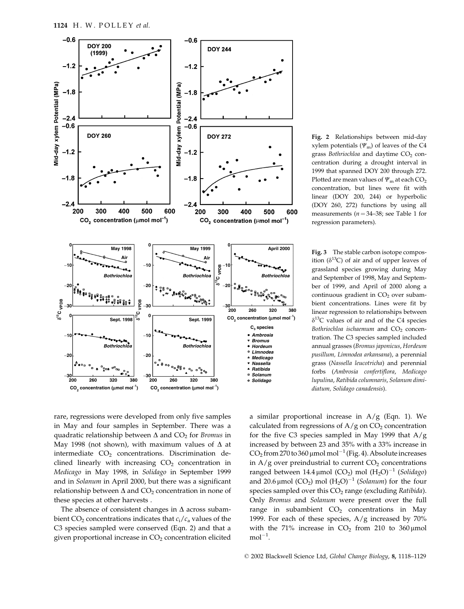

Fig. 2 Relationships between mid-day xylem potentials ( $\Psi$ <sub>m</sub>) of leaves of the C4 grass Bothriochloa and daytime CO<sub>2</sub> concentration during a drought interval in 1999 that spanned DOY 200 through 272. Plotted are mean values of  $\Psi_m$  at each CO<sub>2</sub> concentration, but lines were fit with linear (DOY 200, 244) or hyperbolic (DOY 260, 272) functions by using all measurements ( $n = 34-38$ ; see Table 1 for regression parameters).

Fig. 3 The stable carbon isotope composition ( $\delta^{13}$ C) of air and of upper leaves of grassland species growing during May and September of 1998, May and September of 1999, and April of 2000 along a continuous gradient in CO<sub>2</sub> over subambient concentrations. Lines were fit by linear regression to relationships between  $\delta^{13}$ C values of air and of the C4 species Bothriochloa ischaemum and CO<sub>2</sub> concentration. The C3 species sampled included annual grasses (Bromus japonicus, Hordeum pusillum, Limnodea arkansana), a perennial grass (Nassella leucotricha) and perennial forbs (Ambrosia confertiflora, Medicago lupulina, Ratibida columnaris, Solanum dimidiatum, Solidago canadensis).

rare, regressions were developed from only five samples in May and four samples in September. There was a quadratic relationship between  $\Delta$  and  $CO<sub>2</sub>$  for *Bromus* in May 1998 (not shown), with maximum values of  $\Delta$  at intermediate  $CO<sub>2</sub>$  concentrations. Discrimination declined linearly with increasing CO<sub>2</sub> concentration in Medicago in May 1998, in Solidago in September 1999 and in Solanum in April 2000, but there was a significant relationship between  $\Delta$  and  $CO_2$  concentration in none of these species at other harvests.

The absence of consistent changes in  $\Delta$  across subambient  $CO_2$  concentrations indicates that  $c_i/c_a$  values of the C3 species sampled were conserved (Eqn. 2) and that a given proportional increase in  $CO<sub>2</sub>$  concentration elicited

a similar proportional increase in  $A/g$  (Eqn. 1). We calculated from regressions of  $A/g$  on  $CO<sub>2</sub>$  concentration for the five C3 species sampled in May 1999 that  $A/g$ increased by between 23 and 35% with a 33% increase in  $CO<sub>2</sub>$  from 270 to 360 µmol mol<sup>-1</sup> (Fig. 4). Absolute increases in  $A/g$  over preindustrial to current  $CO<sub>2</sub>$  concentrations ranged between 14.4 µmol (CO<sub>2</sub>) mol  $(H_2O)^{-1}$  (Solidago) and 20.6 µmol (CO<sub>2</sub>) mol (H<sub>2</sub>O)<sup>-1</sup> (Solanum) for the four species sampled over this CO<sub>2</sub> range (excluding Ratibida). Only Bromus and Solanum were present over the full range in subambient  $CO<sub>2</sub>$  concentrations in May 1999. For each of these species,  $A/g$  increased by 70% with the 71% increase in  $CO<sub>2</sub>$  from 210 to 360 µmol  $mol<sup>-1</sup>$ .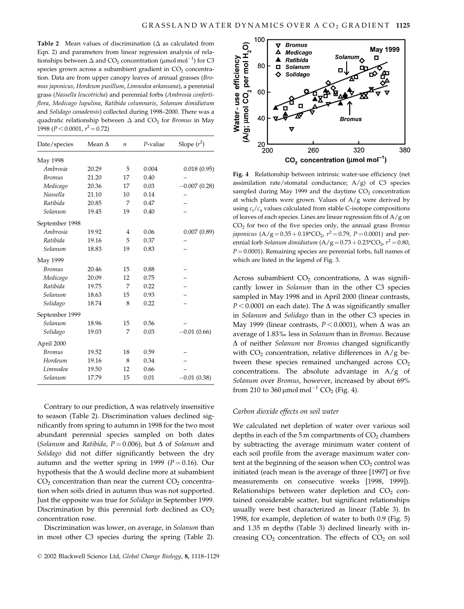Table 2 Mean values of discrimination ( $\Delta$  as calculated from Eqn. 2) and parameters from linear regression analysis of relationships between  $\Delta$  and CO<sub>2</sub> concentration ( $\mu$ mol mol<sup>-1</sup>) for C3 species grown across a subambient gradient in  $CO<sub>2</sub>$  concentration. Data are from upper canopy leaves of annual grasses (Bromus japonicus, Hordeum pusillum, Limnodea arkansana), a perennial grass (Nassella leucotricha) and perennial forbs (Ambrosia confertiflora, Medicago lupulina, Ratibida columnaris, Solanum dimidiatum and Solidago canadensis) collected during 1998-2000. There was a quadratic relationship between  $\Delta$  and CO<sub>2</sub> for *Bromus* in May 1998 ( $P < 0.0001$ ,  $r^2 = 0.72$ )

| Date/species    | Mean $\Lambda$ | $\boldsymbol{n}$ | $P$ -value | Slope $(r^2)$  |
|-----------------|----------------|------------------|------------|----------------|
| May 1998        |                |                  |            |                |
| Ambrosia        | 20.29          | 5                | 0.004      | 0.018(0.95)    |
| <b>Bromus</b>   | 21.20          | 17               | 0.40       |                |
| Medicago        | 20.36          | 17               | 0.03       | $-0.007(0.28)$ |
| <b>Nassella</b> | 21.10          | 10               | 0.14       |                |
| Ratibida        | 20.85          | 7                | 0.47       |                |
| Solanum         | 19.45          | 19               | 0.40       |                |
| September 1998  |                |                  |            |                |
| Ambrosia        | 19.92          | $\overline{4}$   | 0.06       | 0.007(0.89)    |
| Ratibida        | 19.16          | 5                | 0.37       |                |
| Solanum         | 18.83          | 19               | 0.83       |                |
| May 1999        |                |                  |            |                |
| <b>Bromus</b>   | 20.46          | 15               | 0.88       |                |
| Medicago        | 20.09          | 12               | 0.75       |                |
| Ratibida        | 19.75          | 7                | 0.22       |                |
| Solanum         | 18.63          | 15               | 0.93       |                |
| Solidago        | 18.74          | 8                | 0.22       |                |
| September 1999  |                |                  |            |                |
| Solanum         | 18.96          | 15               | 0.56       |                |
| Solidago        | 19.03          | 7                | 0.03       | $-0.01(0.66)$  |
| April 2000      |                |                  |            |                |
| <b>Bromus</b>   | 19.52          | 18               | 0.59       |                |
| Hordeum         | 19.16          | 8                | 0.34       |                |
| Limnodea        | 19.50          | 12               | 0.66       |                |
| Solanum         | 17.79          | 15               | 0.01       | $-0.01(0.38)$  |

Contrary to our prediction,  $\Delta$  was relatively insensitive to season (Table 2). Discrimination values declined significantly from spring to autumn in 1998 for the two most abundant perennial species sampled on both dates (Solanum and Ratibida,  $P = 0.006$ ), but  $\Delta$  of Solanum and Solidago did not differ significantly between the dry autumn and the wetter spring in 1999 ( $P = 0.16$ ). Our hypothesis that the  $\Delta$  would decline more at subambient  $CO<sub>2</sub>$  concentration than near the current  $CO<sub>2</sub>$  concentration when soils dried in autumn thus was not supported. Just the opposite was true for Solidago in September 1999. Discrimination by this perennial forb declined as  $CO<sub>2</sub>$ concentration rose.

Discrimination was lower, on average, in Solanum than in most other C3 species during the spring (Table 2).



Fig. 4 Relationship between intrinsic water-use efficiency (net assimilation rate/stomatal conductance;  $A/g$ ) of C3 species sampled during May 1999 and the daytime  $CO<sub>2</sub>$  concentration at which plants were grown. Values of  $A/g$  were derived by using  $c_i/c_a$  values calculated from stable C-isotope compositions of leaves of each species. Lines are linear regression fits of  $A/g$  on  $CO<sub>2</sub>$  for two of the five species only, the annual grass *Bromus japonicus* (A/g =  $0.35 + 0.18$ <sup>\*</sup>CO<sub>2</sub>,  $r^2 = 0.79$ , P = 0.0001) and perennial forb *Solanum dimidiatum* ( $A/g = 0.73 + 0.23$ <sup>\*</sup>CO<sub>2</sub>,  $r^2 = 0.80$ ,  $P = 0.0001$ ). Remaining species are perennial forbs, full names of which are listed in the legend of Fig. 3.

Across subambient  $CO<sub>2</sub>$  concentrations,  $\Delta$  was significantly lower in *Solanum* than in the other C3 species sampled in May 1998 and in April 2000 (linear contrasts,  $P < 0.0001$  on each date). The  $\Delta$  was significantly smaller in Solanum and Solidago than in the other C3 species in May 1999 (linear contrasts,  $P < 0.0001$ ), when  $\Delta$  was an average of 1.83% less in Solanum than in Bromus. Because  $\Delta$  of neither Solanum nor Bromus changed significantly with  $CO<sub>2</sub>$  concentration, relative differences in A/g between these species remained unchanged across  $CO<sub>2</sub>$ concentrations. The absolute advantage in  $A/g$  of Solanum over Bromus, however, increased by about 69% from 210 to 360 µmol mol<sup>-1</sup> CO<sub>2</sub> (Fig. 4).

#### Carbon dioxide effects on soil water

We calculated net depletion of water over various soil depths in each of the  $5 \text{ m}$  compartments of  $CO<sub>2</sub>$  chambers by subtracting the average minimum water content of each soil profile from the average maximum water content at the beginning of the season when  $CO<sub>2</sub>$  control was initiated (each mean is the average of three [1997] or five measurements on consecutive weeks [1998, 1999]). Relationships between water depletion and CO<sub>2</sub> contained considerable scatter, but significant relationships usually were best characterized as linear (Table 3). In 1998, for example, depletion of water to both 0.9 (Fig. 5) and 1.35 m depths (Table 3) declined linearly with increasing  $CO<sub>2</sub>$  concentration. The effects of  $CO<sub>2</sub>$  on soil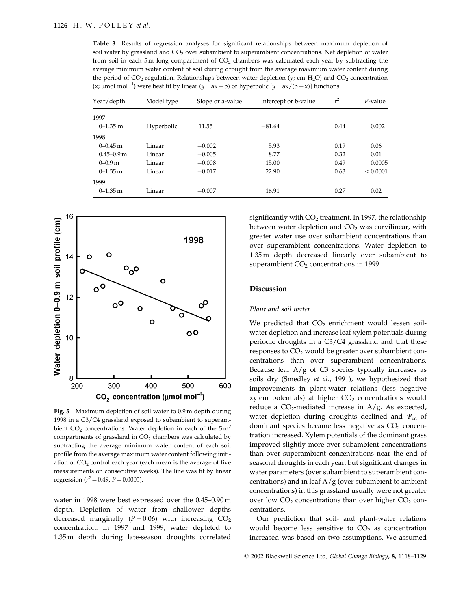Table 3 Results of regression analyses for significant relationships between maximum depletion of soil water by grassland and CO<sub>2</sub> over subambient to superambient concentrations. Net depletion of water from soil in each 5 m long compartment of  $CO<sub>2</sub>$  chambers was calculated each year by subtracting the average minimum water content of soil during drought from the average maximum water content during the period of  $CO_2$  regulation. Relationships between water depletion (y; cm H<sub>2</sub>O) and  $CO_2$  concentration (x; µmol mol<sup>-1</sup>) were best fit by linear (y = ax + b) or hyperbolic [y = ax/(b+x)] functions

| Year/depth     | Model type | Slope or a-value | Intercept or b-value | $r^2$ | $P$ -value |
|----------------|------------|------------------|----------------------|-------|------------|
| 1997           |            |                  |                      |       |            |
| $0 - 1.35$ m   | Hyperbolic | 11.55            | $-81.64$             | 0.44  | 0.002      |
| 1998           |            |                  |                      |       |            |
| $0 - 0.45$ m   | Linear     | $-0.002$         | 5.93                 | 0.19  | 0.06       |
| $0.45 - 0.9$ m | Linear     | $-0.005$         | 8.77                 | 0.32  | 0.01       |
| $0-0.9m$       | Linear     | $-0.008$         | 15.00                | 0.49  | 0.0005     |
| $0-1.35$ m     | Linear     | $-0.017$         | 22.90                | 0.63  | < 0.0001   |
| 1999           |            |                  |                      |       |            |
| $0-1.35$ m     | Linear     | $-0.007$         | 16.91                | 0.27  | 0.02       |



Fig. 5 Maximum depletion of soil water to 0.9 m depth during 1998 in a C3/C4 grassland exposed to subambient to superambient  $CO<sub>2</sub>$  concentrations. Water depletion in each of the  $5 \text{ m}^2$ compartments of grassland in CO<sub>2</sub> chambers was calculated by subtracting the average minimum water content of each soil profile from the average maximum water content following initiation of  $CO<sub>2</sub>$  control each year (each mean is the average of five measurements on consecutive weeks). The line was fit by linear regression ( $r^2$  = 0.49, P = 0.0005).

water in 1998 were best expressed over the 0.45-0.90 m depth. Depletion of water from shallower depths decreased marginally ( $P = 0.06$ ) with increasing  $CO<sub>2</sub>$ concentration. In 1997 and 1999, water depleted to 1.35 m depth during late-season droughts correlated

significantly with  $CO<sub>2</sub>$  treatment. In 1997, the relationship between water depletion and  $CO<sub>2</sub>$  was curvilinear, with greater water use over subambient concentrations than over superambient concentrations. Water depletion to 1.35 m depth decreased linearly over subambient to superambient  $CO<sub>2</sub>$  concentrations in 1999.

## **Discussion**

## Plant and soil water

We predicted that  $CO<sub>2</sub>$  enrichment would lessen soilwater depletion and increase leaf xylem potentials during periodic droughts in a C3/C4 grassland and that these responses to CO<sub>2</sub> would be greater over subambient concentrations than over superambient concentrations. Because leaf  $A/g$  of C3 species typically increases as soils dry (Smedley et al., 1991), we hypothesized that improvements in plant-water relations (less negative xylem potentials) at higher  $CO<sub>2</sub>$  concentrations would reduce a  $CO<sub>2</sub>$ -mediated increase in A/g. As expected, water depletion during droughts declined and  $\Psi_{\rm m}$  of dominant species became less negative as CO<sub>2</sub> concentration increased. Xylem potentials of the dominant grass improved slightly more over subambient concentrations than over superambient concentrations near the end of seasonal droughts in each year, but significant changes in water parameters (over subambient to superambient concentrations) and in leaf  $A/g$  (over subambient to ambient concentrations) in this grassland usually were not greater over low  $CO<sub>2</sub>$  concentrations than over higher  $CO<sub>2</sub>$  concentrations.

Our prediction that soil- and plant-water relations would become less sensitive to  $CO<sub>2</sub>$  as concentration increased was based on two assumptions. We assumed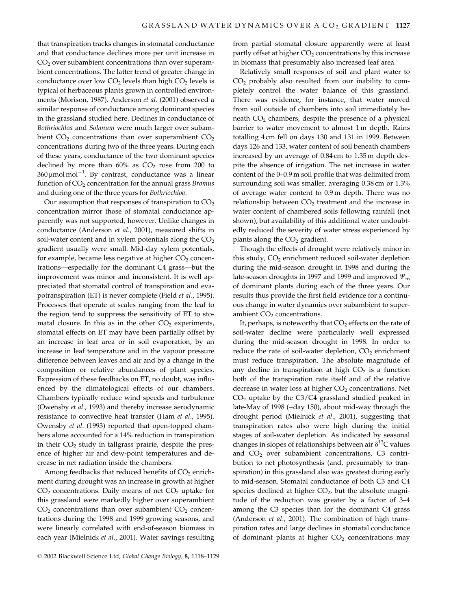that transpiration tracks changes in stomatal conductance and that conductance declines more per unit increase in  $CO<sub>2</sub>$  over subambient concentrations than over superambient concentrations. The latter trend of greater change in conductance over low  $CO<sub>2</sub>$  levels than high  $CO<sub>2</sub>$  levels is typical of herbaceous plants grown in controlled environments (Morison, 1987). Anderson et al. (2001) observed a similar response of conductance among dominant species in the grassland studied here. Declines in conductance of Bothriochloa and Solanum were much larger over subambient  $CO<sub>2</sub>$  concentrations than over superambient  $CO<sub>2</sub>$ concentrations during two of the three years. During each of these years, conductance of the two dominant species declined by more than  $60\%$  as  $CO<sub>2</sub>$  rose from 200 to  $360 \mu$ mol mol<sup>-1</sup>. By contrast, conductance was a linear function of CO<sub>2</sub> concentration for the annual grass Bromus and during one of the three years for Bothriochloa.

Our assumption that responses of transpiration to  $CO<sub>2</sub>$ concentration mirror those of stomatal conductance apparently was not supported, however. Unlike changes in conductance (Anderson et al., 2001), measured shifts in soil-water content and in xylem potentials along the  $CO<sub>2</sub>$ gradient usually were small. Mid-day xylem potentials, for example, became less negative at higher CO<sub>2</sub> concentrations—especially for the dominant C4 grass—but the improvement was minor and inconsistent. It is well appreciated that stomatal control of transpiration and evapotranspiration (ET) is never complete (Field et al., 1995). Processes that operate at scales ranging from the leaf to the region tend to suppress the sensitivity of ET to stomatal closure. In this as in the other  $CO<sub>2</sub>$  experiments, stomatal effects on ET may have been partially offset by an increase in leaf area or in soil evaporation, by an increase in leaf temperature and in the vapour pressure difference between leaves and air and by a change in the composition or relative abundances of plant species. Expression of these feedbacks on ET, no doubt, was influenced by the climatological effects of our chambers. Chambers typically reduce wind speeds and turbulence (Owensby et al., 1993) and thereby increase aerodynamic resistance to convective heat transfer (Ham et al., 1995). Owensby et al. (1993) reported that open-topped chambers alone accounted for a 14% reduction in transpiration in their  $CO<sub>2</sub>$  study in tallgrass prairie, despite the presence of higher air and dew-point temperatures and decrease in net radiation inside the chambers.

Among feedbacks that reduced benefits of CO<sub>2</sub> enrichment during drought was an increase in growth at higher  $CO<sub>2</sub>$  concentrations. Daily means of net  $CO<sub>2</sub>$  uptake for this grassland were markedly higher over superambient  $CO<sub>2</sub>$  concentrations than over subambient  $CO<sub>2</sub>$  concentrations during the 1998 and 1999 growing seasons, and were linearly correlated with end-of-season biomass in each year (Mielnick et al., 2001). Water savings resulting from partial stomatal closure apparently were at least partly offset at higher CO<sub>2</sub> concentrations by this increase in biomass that presumably also increased leaf area.

Relatively small responses of soil and plant water to  $CO<sub>2</sub>$  probably also resulted from our inability to completely control the water balance of this grassland. There was evidence, for instance, that water moved from soil outside of chambers into soil immediately beneath CO<sub>2</sub> chambers, despite the presence of a physical barrier to water movement to almost 1m depth. Rains totalling 4 cm fell on days 130 and 131 in 1999. Between days 126 and 133, water content of soil beneath chambers increased by an average of 0.84 cm to 1.35 m depth despite the absence of irrigation. The net increase in water content of the 0-0.9 m soil profile that was delimited from surrounding soil was smaller, averaging 0.38 cm or 1.3% of average water content to 0.9m depth. There was no relationship between  $CO<sub>2</sub>$  treatment and the increase in water content of chambered soils following rainfall (not shown), but availability of this additional water undoubtedly reduced the severity of water stress experienced by plants along the  $CO<sub>2</sub>$  gradient.

Though the effects of drought were relatively minor in this study, CO<sub>2</sub> enrichment reduced soil-water depletion during the mid-season drought in 1998 and during the late-season droughts in 1997 and 1999 and improved  $\Psi_{\rm m}$ of dominant plants during each of the three years. Our results thus provide the first field evidence for a continuous change in water dynamics over subambient to superambient  $CO<sub>2</sub>$  concentrations.

It, perhaps, is noteworthy that  $CO<sub>2</sub>$  effects on the rate of soil-water decline were particularly well expressed during the mid-season drought in 1998. In order to reduce the rate of soil-water depletion,  $CO<sub>2</sub>$  enrichment must reduce transpiration. The absolute magnitude of any decline in transpiration at high  $CO<sub>2</sub>$  is a function both of the transpiration rate itself and of the relative decrease in water loss at higher CO<sub>2</sub> concentrations. Net  $CO<sub>2</sub>$  uptake by the C3/C4 grassland studied peaked in late-May of 1998 (~day 150), about mid-way through the drought period (Mielnick et al., 2001), suggesting that transpiration rates also were high during the initial stages of soil-water depletion. As indicated by seasonal changes in slopes of relationships between air  $\delta^{13}$ C values and  $CO<sub>2</sub>$  over subambient concentrations, C3 contribution to net photosynthesis (and, presumably to transpiration) in this grassland also was greatest during early to mid-season. Stomatal conductance of both C3 and C4 species declined at higher  $CO<sub>2</sub>$ , but the absolute magnitude of the reduction was greater by a factor of 3-4 among the C3 species than for the dominant C4 grass (Anderson et al., 2001). The combination of high transpiration rates and large declines in stomatal conductance of dominant plants at higher  $CO<sub>2</sub>$  concentrations may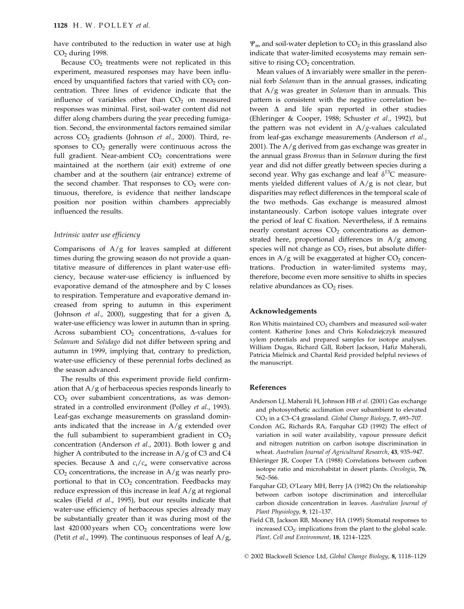have contributed to the reduction in water use at high  $CO<sub>2</sub>$  during 1998.

Because  $CO<sub>2</sub>$  treatments were not replicated in this experiment, measured responses may have been influenced by unquantified factors that varied with CO<sub>2</sub> concentration. Three lines of evidence indicate that the influence of variables other than  $CO<sub>2</sub>$  on measured responses was minimal. First, soil-water content did not differ along chambers during the year preceding fumigation. Second, the environmental factors remained similar across  $CO<sub>2</sub>$  gradients (Johnson et al., 2000). Third, responses to CO<sub>2</sub> generally were continuous across the full gradient. Near-ambient  $CO<sub>2</sub>$  concentrations were maintained at the northern (air exit) extreme of one chamber and at the southern (air entrance) extreme of the second chamber. That responses to CO<sub>2</sub> were continuous, therefore, is evidence that neither landscape position nor position within chambers appreciably influenced the results.

#### Intrinsic water use efficiency

Comparisons of  $A/g$  for leaves sampled at different times during the growing season do not provide a quantitative measure of differences in plant water-use efficiency, because water-use efficiency is influenced by evaporative demand of the atmosphere and by C losses to respiration. Temperature and evaporative demand increased from spring to autumn in this experiment (Johnson et al., 2000), suggesting that for a given  $\Delta$ , water-use efficiency was lower in autumn than in spring. Across subambient  $CO<sub>2</sub>$  concentrations,  $\Delta$ -values for Solanum and Solidago did not differ between spring and autumn in 1999, implying that, contrary to prediction, water-use efficiency of these perennial forbs declined as the season advanced.

The results of this experiment provide field confirmation that  $A/g$  of herbaceous species responds linearly to  $CO<sub>2</sub>$  over subambient concentrations, as was demonstrated in a controlled environment (Polley et al., 1993). Leaf-gas exchange measurements on grassland dominants indicated that the increase in  $A/g$  extended over the full subambient to superambient gradient in  $CO<sub>2</sub>$ concentration (Anderson et al., 2001). Both lower g and higher A contributed to the increase in  $A/g$  of C3 and C4 species. Because  $\Delta$  and  $c_i/c_a$  were conservative across  $CO<sub>2</sub>$  concentrations, the increase in A/g was nearly proportional to that in CO<sub>2</sub> concentration. Feedbacks may reduce expression of this increase in leaf  $A/g$  at regional scales (Field et al., 1995), but our results indicate that water-use efficiency of herbaceous species already may be substantially greater than it was during most of the last  $420000$  years when  $CO<sub>2</sub>$  concentrations were low (Petit *et al.*, 1999). The continuous responses of leaf  $A/g$ ,

 $\Psi_{\rm m}$  and soil-water depletion to  $CO_2$  in this grassland also indicate that water-limited ecosystems may remain sensitive to rising  $CO<sub>2</sub>$  concentration.

Mean values of  $\Delta$  invariably were smaller in the perennial forb Solanum than in the annual grasses, indicating that  $A/g$  was greater in *Solanum* than in annuals. This pattern is consistent with the negative correlation between  $\Delta$  and life span reported in other studies (Ehleringer & Cooper, 1988; Schuster et al., 1992), but the pattern was not evident in  $A/g$ -values calculated from leaf-gas exchange measurements (Anderson et al., 2001). The A/g derived from gas exchange was greater in the annual grass *Bromus* than in *Solanum* during the first year and did not differ greatly between species during a second year. Why gas exchange and leaf  $\delta^{13}C$  measurements yielded different values of  $A/g$  is not clear, but disparities may reflect differences in the temporal scale of the two methods. Gas exchange is measured almost instantaneously. Carbon isotope values integrate over the period of leaf C fixation. Nevertheless, if  $\Delta$  remains nearly constant across  $CO<sub>2</sub>$  concentrations as demonstrated here, proportional differences in A/g among species will not change as  $CO<sub>2</sub>$  rises, but absolute differences in  $A/g$  will be exaggerated at higher  $CO<sub>2</sub>$  concentrations. Production in water-limited systems may, therefore, become even more sensitive to shifts in species relative abundances as  $CO<sub>2</sub>$  rises.

## Acknowledgements

Ron Whitis maintained  $CO<sub>2</sub>$  chambers and measured soil-water content. Katherine Jones and Chris Kolodziejczyk measured xylem potentials and prepared samples for isotope analyses. William Dugas, Richard Gill, Robert Jackson, Hafiz Maherali, Patricia Mielnick and Chantal Reid provided helpful reviews of the manuscript.

## References

- Anderson LJ, Maherali H, Johnson HB et al. (2001) Gas exchange and photosynthetic acclimation over subambient to elevated CO<sub>2</sub> in a C3-C4 grassland. Global Change Biology, 7, 693-707.
- Condon AG, Richards RA, Farquhar GD (1992) The effect of variation in soil water availability, vapour pressure deficit and nitrogen nutrition on carbon isotope discrimination in wheat. Australian Journal of Agricultural Research, 43, 935-947.
- Ehleringer JR, Cooper TA (1988) Correlations between carbon isotope ratio and microhabitat in desert plants. Oecologia, 76, 562-566.
- Farquhar GD, O'Leary MH, Berry JA (1982) On the relationship between carbon isotope discrimination and intercellular carbon dioxide concentration in leaves. Australian Journal of Plant Physiology, 9, 121-137.
- Field CB, Jackson RB, Mooney HA (1995) Stomatal responses to increased CO<sub>2</sub>: implications from the plant to the global scale. Plant, Cell and Environment, 18, 1214-1225.

© 2002 Blackwell Science Ltd, Global Change Biology, 8, 1118-1129